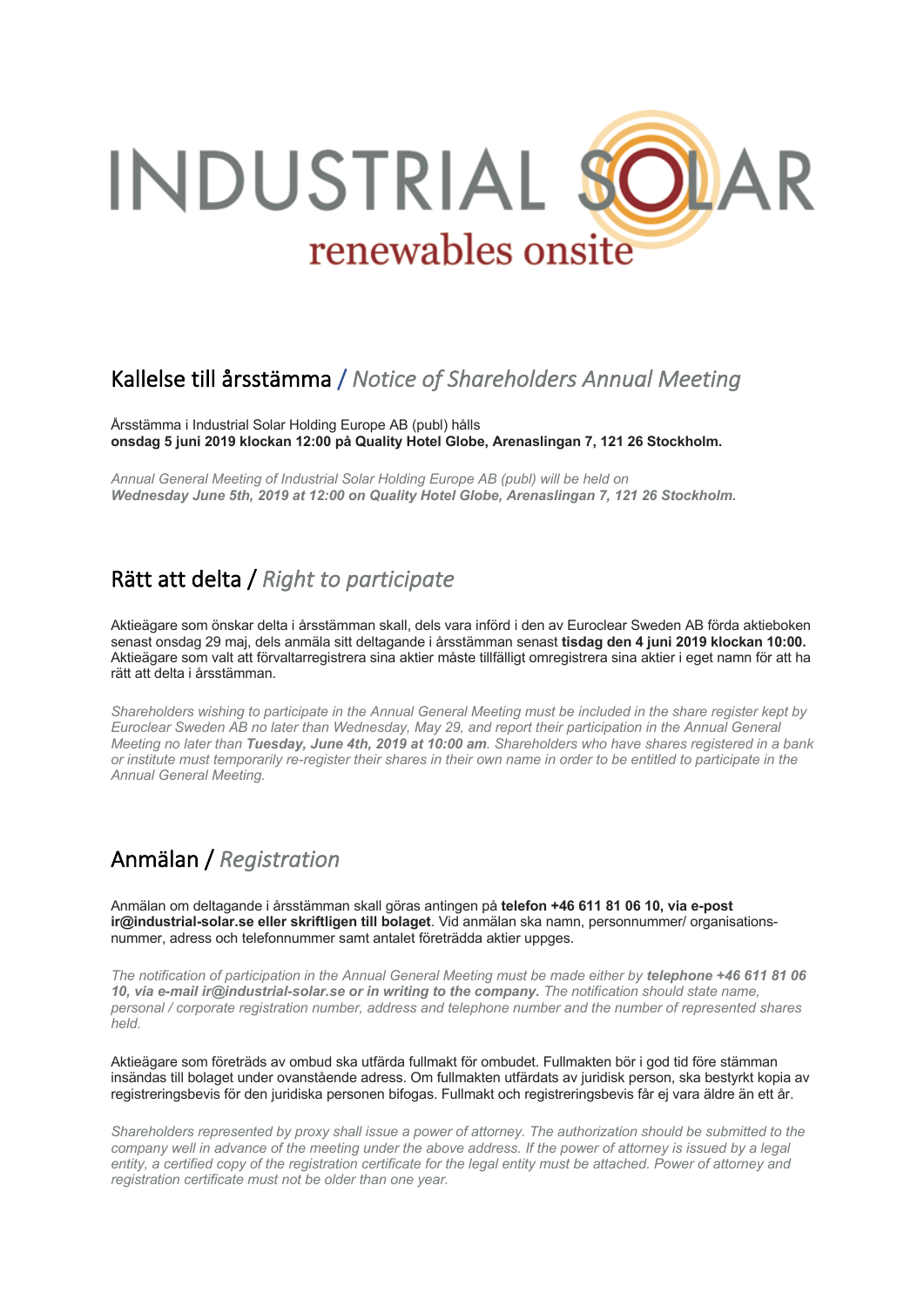

# Kallelse till årsstämma / *Notice of Shareholders Annual Meeting*

Årsstämma i Industrial Solar Holding Europe AB (publ) hålls **onsdag 5 juni 2019 klockan 12:00 på Quality Hotel Globe, Arenaslingan 7, 121 26 Stockholm.**

*Annual General Meeting of Industrial Solar Holding Europe AB (publ) will be held on Wednesday June 5th, 2019 at 12:00 on Quality Hotel Globe, Arenaslingan 7, 121 26 Stockholm.*

#### Rätt att delta / *Right to participate*

Aktieägare som önskar delta i årsstämman skall, dels vara införd i den av Euroclear Sweden AB förda aktieboken senast onsdag 29 maj, dels anmäla sitt deltagande i årsstämman senast **tisdag den 4 juni 2019 klockan 10:00.** Aktieägare som valt att förvaltarregistrera sina aktier måste tillfälligt omregistrera sina aktier i eget namn för att ha rätt att delta i årsstämman.

*Shareholders wishing to participate in the Annual General Meeting must be included in the share register kept by Euroclear Sweden AB no later than Wednesday, May 29, and report their participation in the Annual General Meeting no later than Tuesday, June 4th, 2019 at 10:00 am. Shareholders who have shares registered in a bank or institute must temporarily re-register their shares in their own name in order to be entitled to participate in the Annual General Meeting.*

# Anmälan / *Registration*

Anmälan om deltagande i årsstämman skall göras antingen på **telefon +46 611 81 06 10, via e-post ir@industrial-solar.se eller skriftligen till bolaget**. Vid anmälan ska namn, personnummer/ organisationsnummer, adress och telefonnummer samt antalet företrädda aktier uppges.

*The notification of participation in the Annual General Meeting must be made either by telephone +46 611 81 06 10, via e-mail ir@industrial-solar.se or in writing to the company. The notification should state name, personal / corporate registration number, address and telephone number and the number of represented shares held.*

Aktieägare som företräds av ombud ska utfärda fullmakt för ombudet. Fullmakten bör i god tid före stämman insändas till bolaget under ovanstående adress. Om fullmakten utfärdats av juridisk person, ska bestyrkt kopia av registreringsbevis för den juridiska personen bifogas. Fullmakt och registreringsbevis får ej vara äldre än ett år.

*Shareholders represented by proxy shall issue a power of attorney. The authorization should be submitted to the company well in advance of the meeting under the above address. If the power of attorney is issued by a legal entity, a certified copy of the registration certificate for the legal entity must be attached. Power of attorney and registration certificate must not be older than one year.*